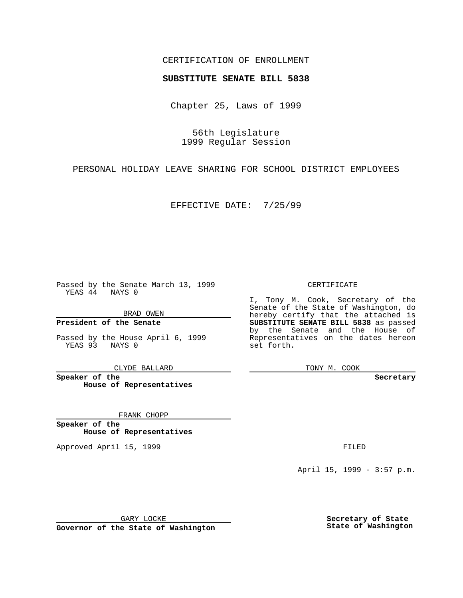### CERTIFICATION OF ENROLLMENT

# **SUBSTITUTE SENATE BILL 5838**

Chapter 25, Laws of 1999

56th Legislature 1999 Regular Session

PERSONAL HOLIDAY LEAVE SHARING FOR SCHOOL DISTRICT EMPLOYEES

EFFECTIVE DATE: 7/25/99

Passed by the Senate March 13, 1999 YEAS 44 NAYS 0

BRAD OWEN

**President of the Senate**

Passed by the House April 6, 1999 YEAS 93 NAYS 0

CLYDE BALLARD

**Speaker of the House of Representatives**

FRANK CHOPP

**Speaker of the House of Representatives**

Approved April 15, 1999 **FILED** 

#### CERTIFICATE

I, Tony M. Cook, Secretary of the Senate of the State of Washington, do hereby certify that the attached is **SUBSTITUTE SENATE BILL 5838** as passed by the Senate and the House of Representatives on the dates hereon set forth.

TONY M. COOK

**Secretary**

April 15, 1999 - 3:57 p.m.

GARY LOCKE

**Governor of the State of Washington**

**Secretary of State State of Washington**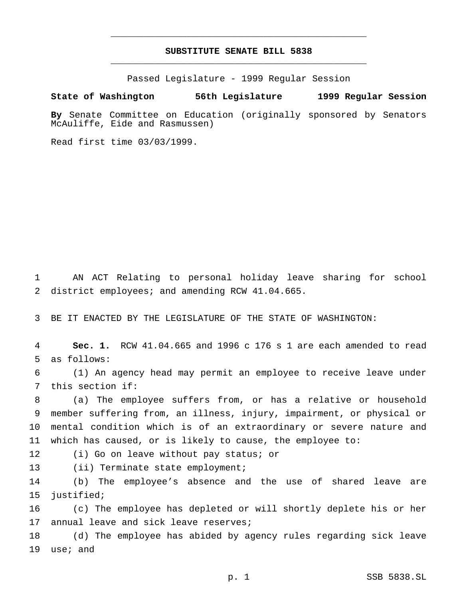## **SUBSTITUTE SENATE BILL 5838** \_\_\_\_\_\_\_\_\_\_\_\_\_\_\_\_\_\_\_\_\_\_\_\_\_\_\_\_\_\_\_\_\_\_\_\_\_\_\_\_\_\_\_\_\_\_\_

\_\_\_\_\_\_\_\_\_\_\_\_\_\_\_\_\_\_\_\_\_\_\_\_\_\_\_\_\_\_\_\_\_\_\_\_\_\_\_\_\_\_\_\_\_\_\_

Passed Legislature - 1999 Regular Session

#### **State of Washington 56th Legislature 1999 Regular Session**

**By** Senate Committee on Education (originally sponsored by Senators McAuliffe, Eide and Rasmussen)

Read first time 03/03/1999.

 AN ACT Relating to personal holiday leave sharing for school district employees; and amending RCW 41.04.665.

BE IT ENACTED BY THE LEGISLATURE OF THE STATE OF WASHINGTON:

 **Sec. 1.** RCW 41.04.665 and 1996 c 176 s 1 are each amended to read as follows:

 (1) An agency head may permit an employee to receive leave under this section if:

 (a) The employee suffers from, or has a relative or household member suffering from, an illness, injury, impairment, or physical or mental condition which is of an extraordinary or severe nature and which has caused, or is likely to cause, the employee to:

(i) Go on leave without pay status; or

(ii) Terminate state employment;

 (b) The employee's absence and the use of shared leave are 15 justified;

 (c) The employee has depleted or will shortly deplete his or her 17 annual leave and sick leave reserves;

 (d) The employee has abided by agency rules regarding sick leave use; and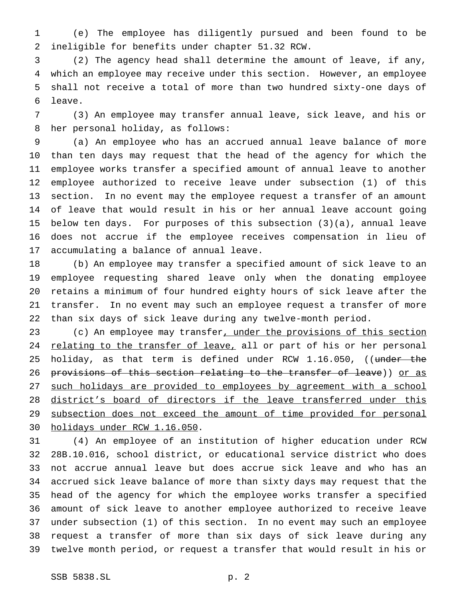(e) The employee has diligently pursued and been found to be ineligible for benefits under chapter 51.32 RCW.

 (2) The agency head shall determine the amount of leave, if any, which an employee may receive under this section. However, an employee shall not receive a total of more than two hundred sixty-one days of leave.

 (3) An employee may transfer annual leave, sick leave, and his or her personal holiday, as follows:

 (a) An employee who has an accrued annual leave balance of more than ten days may request that the head of the agency for which the employee works transfer a specified amount of annual leave to another employee authorized to receive leave under subsection (1) of this section. In no event may the employee request a transfer of an amount of leave that would result in his or her annual leave account going below ten days. For purposes of this subsection (3)(a), annual leave does not accrue if the employee receives compensation in lieu of accumulating a balance of annual leave.

 (b) An employee may transfer a specified amount of sick leave to an employee requesting shared leave only when the donating employee retains a minimum of four hundred eighty hours of sick leave after the transfer. In no event may such an employee request a transfer of more than six days of sick leave during any twelve-month period.

23 (c) An employee may transfer, under the provisions of this section 24 relating to the transfer of leave, all or part of his or her personal 25 holiday, as that term is defined under RCW 1.16.050, ((under the 26 provisions of this section relating to the transfer of leave)) or as 27 such holidays are provided to employees by agreement with a school district's board of directors if the leave transferred under this 29 subsection does not exceed the amount of time provided for personal holidays under RCW 1.16.050.

 (4) An employee of an institution of higher education under RCW 28B.10.016, school district, or educational service district who does not accrue annual leave but does accrue sick leave and who has an accrued sick leave balance of more than sixty days may request that the head of the agency for which the employee works transfer a specified amount of sick leave to another employee authorized to receive leave under subsection (1) of this section. In no event may such an employee request a transfer of more than six days of sick leave during any twelve month period, or request a transfer that would result in his or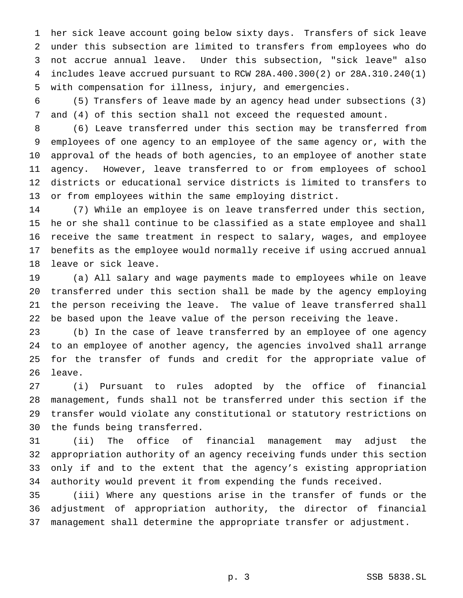her sick leave account going below sixty days. Transfers of sick leave under this subsection are limited to transfers from employees who do not accrue annual leave. Under this subsection, "sick leave" also includes leave accrued pursuant to RCW 28A.400.300(2) or 28A.310.240(1) with compensation for illness, injury, and emergencies.

 (5) Transfers of leave made by an agency head under subsections (3) and (4) of this section shall not exceed the requested amount.

 (6) Leave transferred under this section may be transferred from employees of one agency to an employee of the same agency or, with the approval of the heads of both agencies, to an employee of another state agency. However, leave transferred to or from employees of school districts or educational service districts is limited to transfers to or from employees within the same employing district.

 (7) While an employee is on leave transferred under this section, he or she shall continue to be classified as a state employee and shall receive the same treatment in respect to salary, wages, and employee benefits as the employee would normally receive if using accrued annual leave or sick leave.

 (a) All salary and wage payments made to employees while on leave transferred under this section shall be made by the agency employing the person receiving the leave. The value of leave transferred shall be based upon the leave value of the person receiving the leave.

 (b) In the case of leave transferred by an employee of one agency to an employee of another agency, the agencies involved shall arrange for the transfer of funds and credit for the appropriate value of leave.

 (i) Pursuant to rules adopted by the office of financial management, funds shall not be transferred under this section if the transfer would violate any constitutional or statutory restrictions on the funds being transferred.

 (ii) The office of financial management may adjust the appropriation authority of an agency receiving funds under this section only if and to the extent that the agency's existing appropriation authority would prevent it from expending the funds received.

 (iii) Where any questions arise in the transfer of funds or the adjustment of appropriation authority, the director of financial management shall determine the appropriate transfer or adjustment.